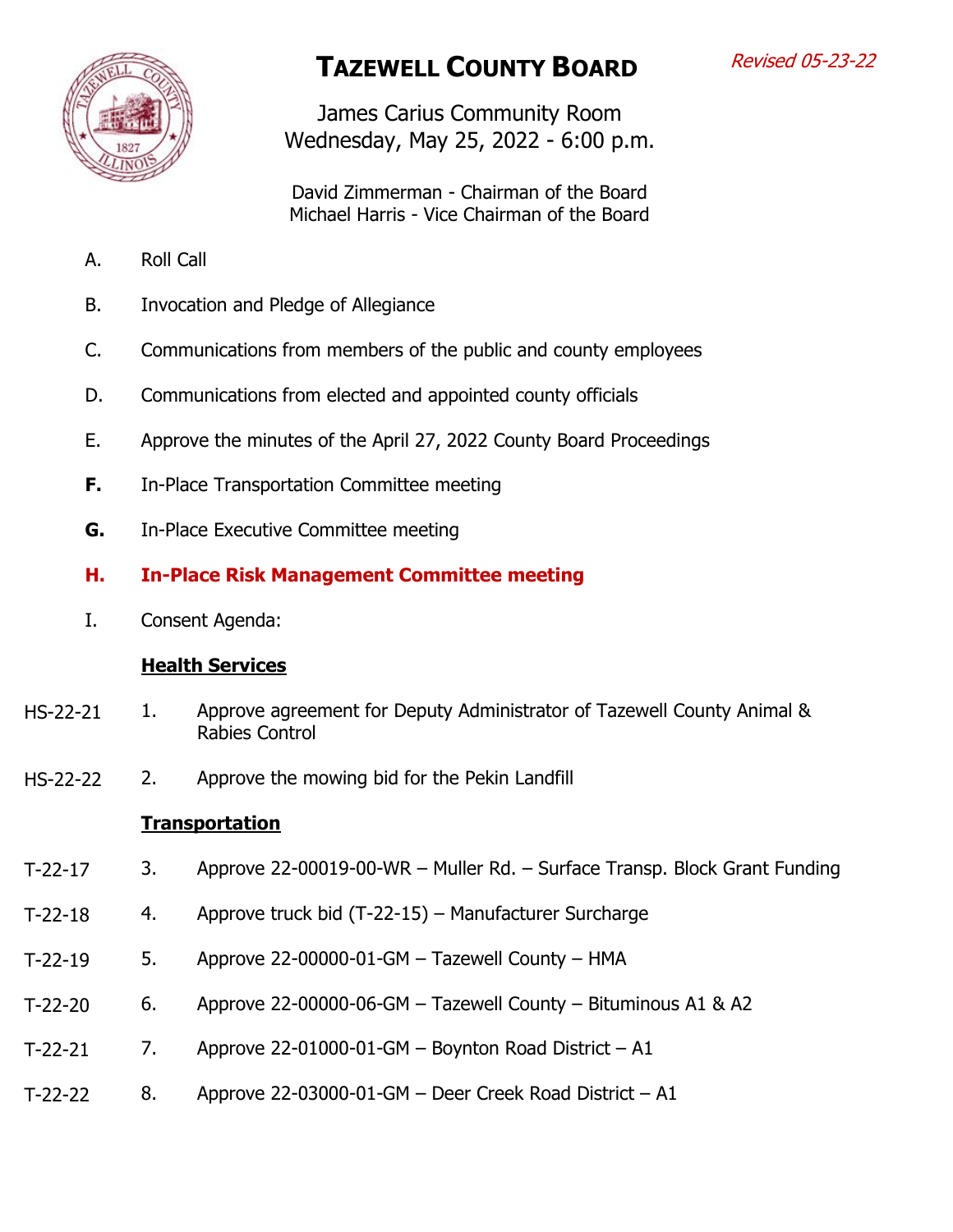

# **TAZEWELL COUNTY BOARD**

James Carius Community Room Wednesday, May 25, 2022 - 6:00 p.m.

David Zimmerman - Chairman of the Board Michael Harris - Vice Chairman of the Board

- A. Roll Call
- B. Invocation and Pledge of Allegiance
- C. Communications from members of the public and county employees
- D. Communications from elected and appointed county officials
- E. Approve the minutes of the April 27, 2022 County Board Proceedings
- **F.** In-Place Transportation Committee meeting
- **G.** In-Place Executive Committee meeting

## **H. In-Place Risk Management Committee meeting**

I. Consent Agenda:

## **Health Services**

- 1. Approve agreement for Deputy Administrator of Tazewell County Animal & Rabies Control HS-22-21
- 2. Approve the mowing bid for the Pekin Landfill HS-22-22

#### **Transportation**

- 3. Approve 22-00019-00-WR Muller Rd. Surface Transp. Block Grant Funding T-22-17
- 4. Approve truck bid (T-22-15) Manufacturer Surcharge T-22-18
- 5. Approve 22-00000-01-GM Tazewell County HMA T-22-19
- 6. Approve 22-00000-06-GM Tazewell County Bituminous A1 & A2 T-22-20
- 7. Approve  $22-01000-01$ -GM Boynton Road District A1 T-22-21
- 8. Approve 22-03000-01-GM Deer Creek Road District A1 T-22-22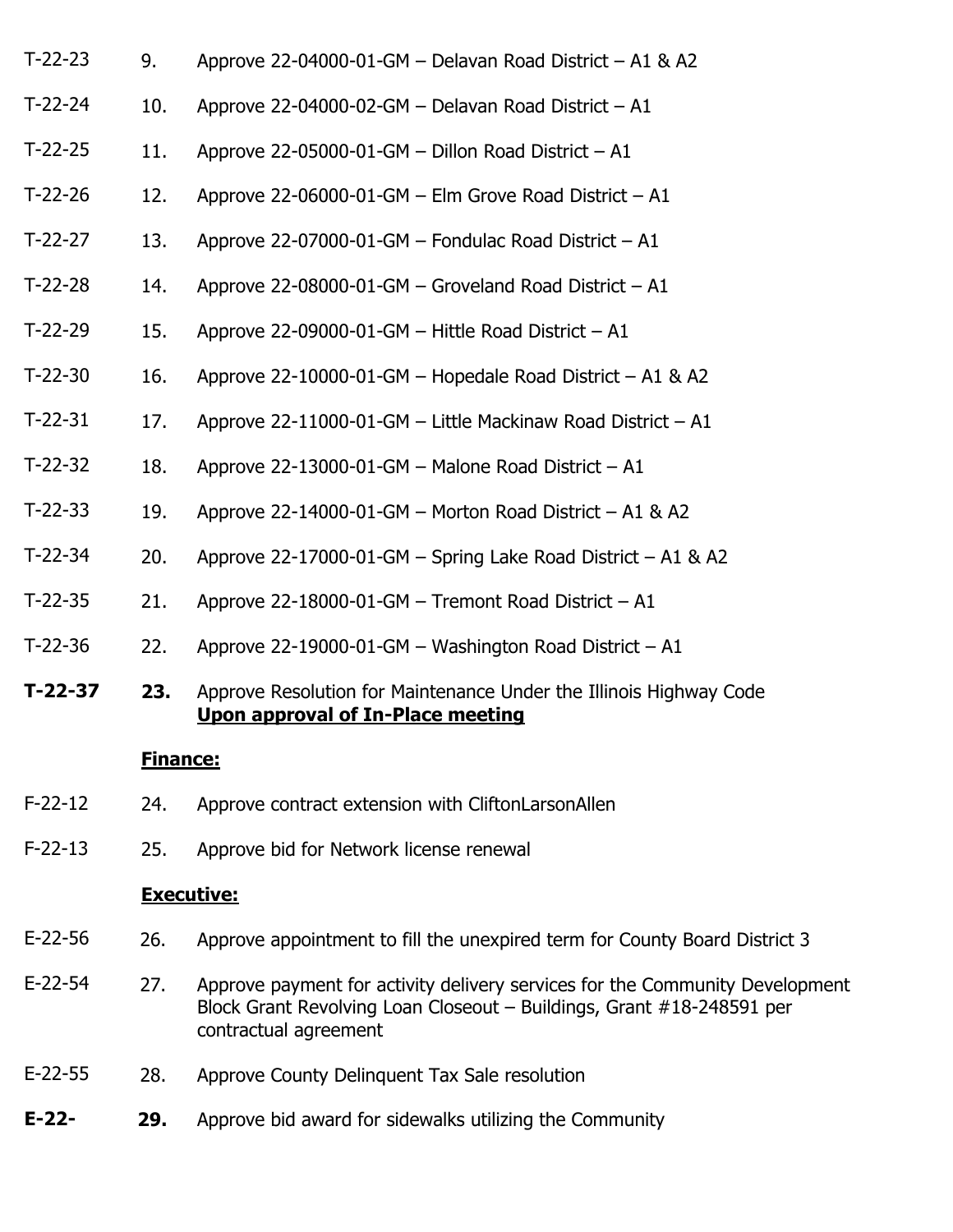| $T-22-23$ | 9.              | Approve 22-04000-01-GM - Delavan Road District - A1 & A2                                                       |
|-----------|-----------------|----------------------------------------------------------------------------------------------------------------|
| $T-22-24$ | 10.             | Approve 22-04000-02-GM - Delavan Road District - A1                                                            |
| $T-22-25$ | 11.             | Approve 22-05000-01-GM - Dillon Road District - A1                                                             |
| $T-22-26$ | 12.             | Approve 22-06000-01-GM - Elm Grove Road District - A1                                                          |
| $T-22-27$ | 13.             | Approve 22-07000-01-GM - Fondulac Road District - A1                                                           |
| $T-22-28$ | 14.             | Approve 22-08000-01-GM - Groveland Road District - A1                                                          |
| $T-22-29$ | 15.             | Approve 22-09000-01-GM - Hittle Road District - A1                                                             |
| $T-22-30$ | 16.             | Approve 22-10000-01-GM - Hopedale Road District - A1 & A2                                                      |
| $T-22-31$ | 17.             | Approve 22-11000-01-GM - Little Mackinaw Road District - A1                                                    |
| $T-22-32$ | 18.             | Approve 22-13000-01-GM - Malone Road District - A1                                                             |
| $T-22-33$ | 19.             | Approve 22-14000-01-GM - Morton Road District - A1 & A2                                                        |
| $T-22-34$ | 20.             | Approve 22-17000-01-GM - Spring Lake Road District - A1 & A2                                                   |
| $T-22-35$ | 21.             | Approve 22-18000-01-GM - Tremont Road District - A1                                                            |
| $T-22-36$ | 22.             | Approve 22-19000-01-GM - Washington Road District - A1                                                         |
| $T-22-37$ | 23.             | Approve Resolution for Maintenance Under the Illinois Highway Code<br><b>Upon approval of In-Place meeting</b> |
|           | <b>Finance:</b> |                                                                                                                |
| $F-22-12$ | 24.             | Approve contract extension with CliftonLarsonAllen                                                             |
|           |                 |                                                                                                                |

25. Approve bid for Network license renewal F-22-13

#### **Executive:**

- 26. Approve appointment to fill the unexpired term for County Board District 3 E-22-56
- 27. Approve payment for activity delivery services for the Community Development Block Grant Revolving Loan Closeout – Buildings, Grant #18-248591 per contractual agreement E-22-54
- 28. Approve County Delinquent Tax Sale resolution E-22-55
- **29.** Approve bid award for sidewalks utilizing the Community **E-22-**